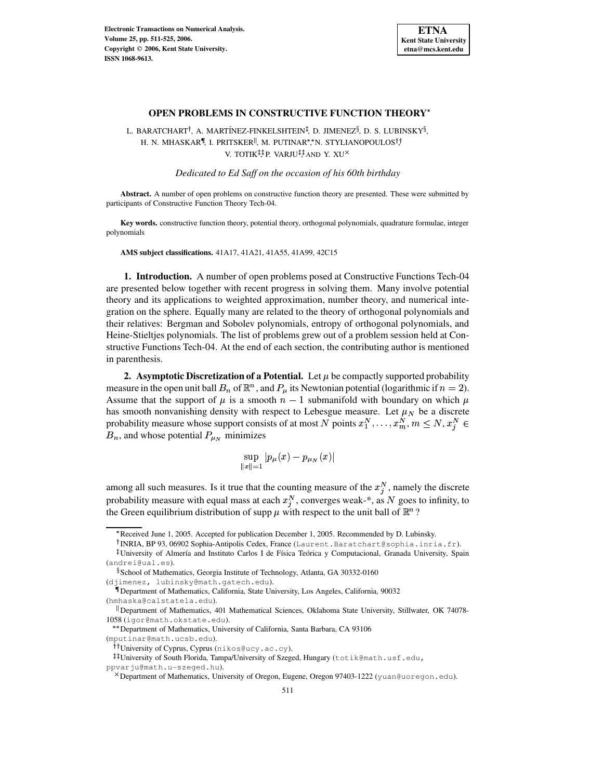

## **OPEN PROBLEMS IN CONSTRUCTIVE FUNCTION THEORY**

L. BARATCHART†, A. MARTÍNEZ-FINKELSHTEIN‡, D. JIMENEZ $\S$ , D. S. LUBINSKY $\S,$ H. N. MHASKAR¶, I. PRITSKER||, M. PUTINAR\*,\*N. STYLIANOPOULOS†,† V. TOTIK<sup>‡‡</sup>P. VARJU<sup>‡‡</sup> AND Y. XU<sup>×</sup>

*Dedicated to Ed Saff on the occasion of his 60th birthday*

**Abstract.** A number of open problems on constructive function theory are presented. These were submitted by participants of Constructive Function Theory Tech-04.

**Key words.** constructive function theory, potential theory, orthogonal polynomials, quadrature formulae, integer polynomials

**AMS subject classifications.** 41A17, 41A21, 41A55, 41A99, 42C15

**1. Introduction.** A number of open problems posed at Constructive Functions Tech-04 are presented below together with recent progress in solving them. Many involve potential theory and its applications to weighted approximation, number theory, and numerical integration on the sphere. Equally many are related to the theory of orthogonal polynomials and their relatives: Bergman and Sobolev polynomials, entropy of orthogonal polynomials, and Heine-Stieltjes polynomials. The list of problems grew out of a problem session held at Constructive Functions Tech-04. At the end of each section, the contributing author is mentioned in parenthesis.

**2.** Asymptotic Discretization of a Potential. Let  $\mu$  be compactly supported probability measure in the open unit ball  $B_n$  of  $\mathbb{R}^n$ , and  $P_\mu$  its Newtonian potential (logarithmic if  $n=2$ ). Assume that the support of  $\mu$  is a smooth  $n-1$  submanifold with boundary on which has smooth nonvanishing density with respect to Lebesgue measure. Let  $\mu_N$  be a discrete probability measure whose support consists of at most N points  $x_1^N, \ldots, x_m^N, m \le N, x_i^N \in$  $B_n$ , and whose potential  $P_{\mu}$  minimizes

$$
\sup_{\|x\|=1}|p_\mu(x)-p_{\mu_N}(x)|
$$

among all such measures. Is it true that the counting measure of the  $x_i^N$ , namely the discrete probability measure with equal mass at each  $x_i^N$ , converges weak-\*, as N goes to infinity, to the Green equilibrium distribution of supp  $\mu$  with respect to the unit ball of  $\mathbb{R}^n$ ?

Received June 1, 2005. Accepted for publication December 1, 2005. Recommended by D. Lubinsky.

INRIA, BP 93, 06902 Sophia-Antipolis Cedex, France (Laurent.Baratchart@sophia.inria.fr). <sup>‡</sup>University of Almería and Instituto Carlos I de Física Teórica y Computacional, Granada University, Spain

<sup>(</sup>andrei@ual.es). School of Mathematics, Georgia Institute of Technology, Atlanta, GA 30332-0160

<sup>(</sup>djimenez, lubinsky@math.gatech.edu).

Department of Mathematics, California, State University, Los Angeles, California, 90032

<sup>(</sup>hmhaska@calstatela.edu).

Department of Mathematics, 401 Mathematical Sciences, Oklahoma State University, Stillwater, OK 74078- 1058 (igor@math.okstate.edu).

<sup>\*\*</sup> Department of Mathematics, University of California, Santa Barbara, CA 93106

<sup>(</sup>mputinar@math.ucsb.edu).

University of Cyprus, Cyprus (nikos@ucy.ac.cy).

<sup>-</sup>- University of South Florida, Tampa/University of Szeged, Hungary (totik@math.usf.edu,

ppvarju@math.u-szeged.hu).

 Department of Mathematics, University of Oregon, Eugene, Oregon 97403-1222 (yuan@uoregon.edu).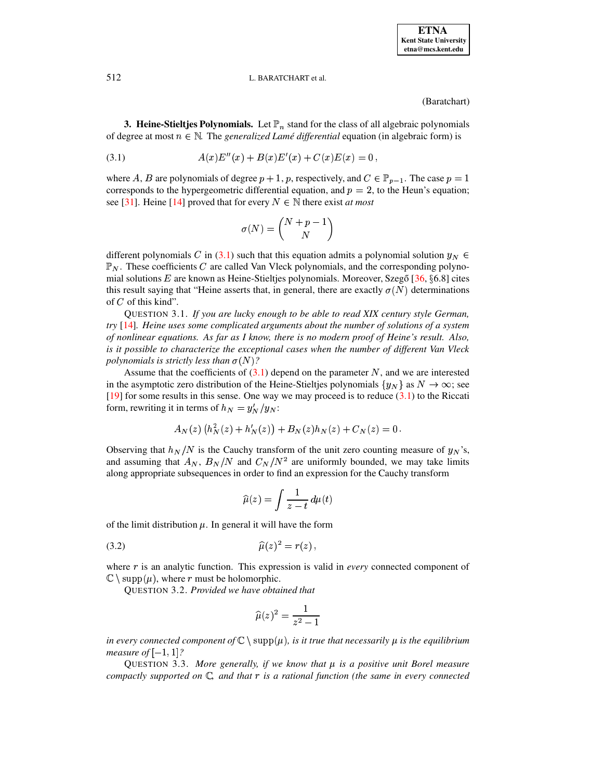<span id="page-1-0"></span>(Baratchart)

**3. Heine-Stieltjes Polynomials.** Let  $\mathbb{P}_n$  stand for the class of all algebraic polynomials of degree at most  $n \in \mathbb{N}$ . The *generalized Lamé differential* equation (in algebraic form) is

(3.1) 
$$
A(x)E''(x) + B(x)E'(x) + C(x)E(x) = 0,
$$

where A, B are polynomials of degree  $p + 1$ , p, respectively, and  $C \in \mathbb{P}_{p-1}$ . The case  $p = 1$ corresponds to the hypergeometric differential equation, and  $p = 2$ , to the Heun's equation; see [\[31\]](#page-13-0). Heine [\[14\]](#page-13-1) proved that for every  $N \in \mathbb{N}$  there exist *at most* 

$$
\sigma(N)=\binom{N+p-1}{N}
$$

different polynomials C in [\(3.1\)](#page-1-0) such that this equation admits a polynomial solution  $y_N \in$  $\mathbb{P}_N$ . These coefficients C are called Van Vleck polynomials, and the corresponding polynomial solutions  $E$  are known as Heine-Stieltjes polynomials. Moreover, Szegő [\[36,](#page-13-2)  $\S 6.8$ ] cites this result saying that "Heine asserts that, in general, there are exactly  $\sigma(N)$  determinations of  $C$  of this kind".

QUESTION 3.1. *If you are lucky enough to be able to read XIX century style German, try* [\[14\]](#page-13-1)*. Heine uses some complicated arguments about the number of solutions of a system of nonlinear equations. As far as I know, there is no modern proof of Heine's result. Also, is it possible to characterize the exceptional cases when the number of different Van Vleck polynomials is strictly less than*  $\sigma(N)$ ?

Assume that the coefficients of  $(3.1)$  depend on the parameter N, and we are interested in the asymptotic zero distribution of the Heine-Stieltjes polynomials  $\{y_N\}$  as  $N \to \infty$ ; see  $[19]$  for some results in this sense. One way we may proceed is to reduce  $(3.1)$  to the Riccati form, rewriting it in terms of  $h_N = y'_N / y_N$ :

$$
A_N(z) (h_N^2(z) + h'_N(z)) + B_N(z)h_N(z) + C_N(z) = 0.
$$

Observing that  $h_N/N$  is the Cauchy transform of the unit zero counting measure of  $y_N$ 's, and assuming that  $A_N$ ,  $B_N/N$  and  $C_N/N^2$  are uniformly bounded, we may take limits along appropriate subsequences in order to find an expression for the Cauchy transform

<span id="page-1-1"></span>
$$
\widehat{\mu}(z) = \int \frac{1}{z-t}\,d\mu(t)
$$

of the limit distribution  $\mu$ . In general it will have the form

$$
\widehat{\mu}(z)^2 = r(z),
$$

where  $r$  is an analytic function. This expression is valid in *every* connected component of  $\mathbb{C} \setminus \text{supp}(\mu)$ , where r must be holomorphic.

QUESTION 3.2. *Provided we have obtained that*

$$
\widehat{u}(z)^2 = \frac{1}{z^2-1}
$$

~

in every connected component of  $\mathbb{C} \setminus \mathrm{supp}(\mu)$ , is it true that necessarily  $\mu$  is the equilibrium *measure* of  $[-1, 1]$ ?

QUESTION 3.3. *More generally, if we know that is a positive unit Borel measure compactly supported on , and that is a rational function (the same in every connected*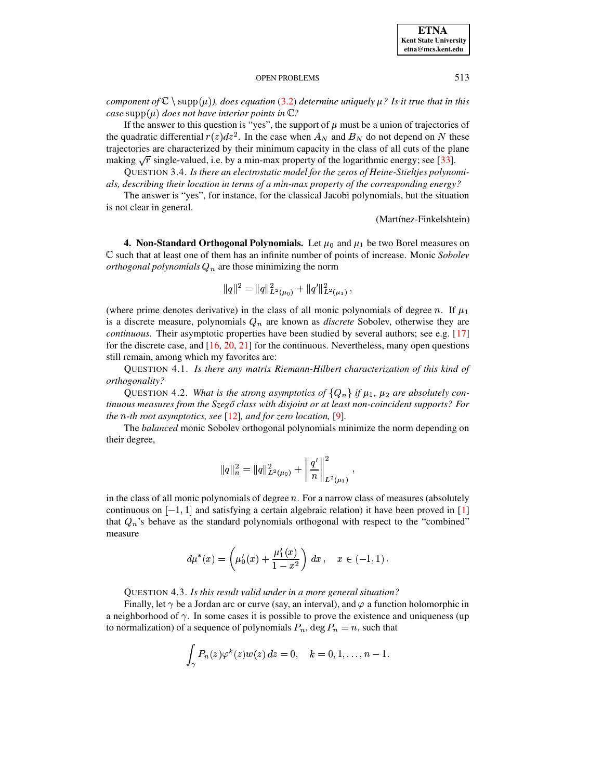**ETNA Kent State University etna@mcs.kent.edu**

#### OPEN PROBLEMS 513

*component* of  $\mathbb{C} \setminus \text{supp}(\mu)$ , *does equation* [\(3.2\)](#page-1-1) *determine uniquely*  $\mu$ ? *Is it true that in this*  $case \text{ supp}(\mu)$  does not have interior points in  $\mathbb{C}$ ?

If the answer to this question is "yes", the support of  $\mu$  must be a union of trajectories of the quadratic differential  $r(z)dz^2$ . In the case when  $A_N$  and  $B_N$  do not depend on N these trajectories are characterized by their minimum capacity in the class of all cuts of the plane making  $\sqrt{r}$  single-valued, i.e. by a min-max property of the logarithmic energy; see [\[33\]](#page-13-4).

QUESTION 3.4. *Is there an electrostatic model for the zeros of Heine-Stieltjes polynomials, describing their location in terms of a min-max property of the corresponding energy?*

The answer is "yes", for instance, for the classical Jacobi polynomials, but the situation is not clear in general.

(Martínez-Finkelshtein)

**4. Non-Standard Orthogonal Polynomials.** Let  $\mu_0$  and  $\mu_1$  be two Borel measures on such that at least one of them has an infinite number of points of increase. Monic *Sobolev orthogonal polynomials*  $Q_n$  are those minimizing the norm

$$
\|q\|^2 = \|q\|_{L^2(\mu_0)}^2 + \|q'\|_{L^2(\mu_1)}^2 \,,
$$

(where prime denotes derivative) in the class of all monic polynomials of degree n. If  $\mu_1$ is a discrete measure, polynomials  $Q_n$  are known as *discrete* Sobolev, otherwise they are *continuous*. Their asymptotic properties have been studied by several authors; see e.g. [\[17\]](#page-13-5) for the discrete case, and  $[16, 20, 21]$  $[16, 20, 21]$  $[16, 20, 21]$  $[16, 20, 21]$  $[16, 20, 21]$  for the continuous. Nevertheless, many open questions still remain, among which my favorites are:

QUESTION 4.1. *Is there any matrix Riemann-Hilbert characterization of this kind of orthogonality?*

QUESTION 4.2. *What is the strong asymptotics of*  $\{Q_n\}$  *if*  $\mu_1$ ,  $\mu_2$  are absolutely con<sup>t</sup> *tinuous measures from the Szego˝ class with disjoint or at least non-coincident supports? For the*  $n$ *-th root asymptotics, see* [\[12\]](#page-13-9)*, and for zero location,* [\[9\]](#page-13-10)*.* 

The *balanced* monic Sobolev orthogonal polynomials minimize the norm depending on their degree,

$$
||q||_n^2 = ||q||_{L^2(\mu_0)}^2 + \left\|\frac{q'}{n}\right\|_{L^2(\mu_1)}^2,
$$

in the class of all monic polynomials of degree  $n$ . For a narrow class of measures (absolutely continuous on  $[-1, 1]$  and satisfying a certain algebraic relation) it have been proved in [\[1\]](#page-12-0) that  $Q_n$ 's behave as the standard polynomials orthogonal with respect to the "combined" measure

$$
d\mu^*(x) = \left(\mu'_0(x) + \frac{\mu'_1(x)}{1-x^2}\right) dx, \quad x \in (-1,1).
$$

QUESTION 4.3. *Is this result valid under in a more general situation?*

Finally, let  $\gamma$  be a Jordan arc or curve (say, an interval), and  $\varphi$  a function holomorphic in a neighborhood of  $\gamma$ . In some cases it is possible to prove the existence and uniqueness (up to normalization) of a sequence of polynomials  $P_n$ ,  $\deg P_n = n$ , such that

$$
\int_\gamma P_n(z) \varphi^k(z) w(z)\,dz = 0, \quad k=0,1,\ldots,n-1.
$$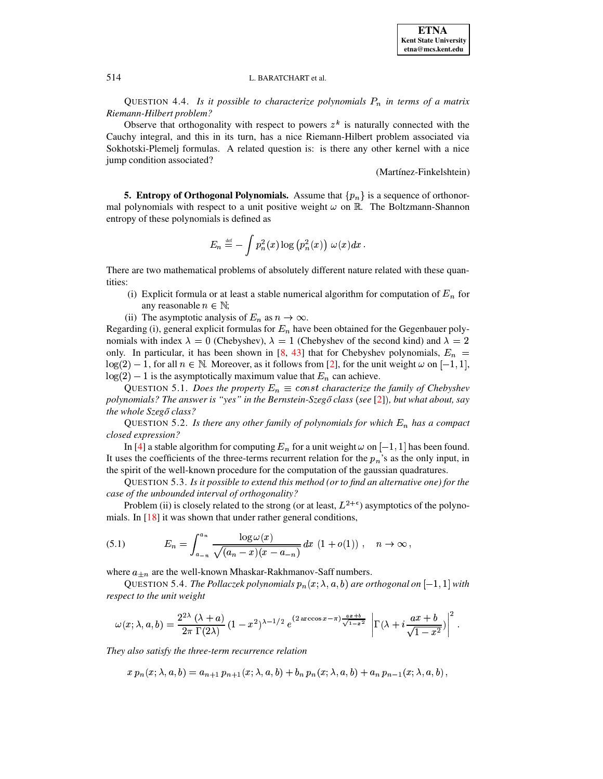QUESTION 4.4. *Is it possible to characterize polynomials*  $P_n$  *in terms of a matrix Riemann-Hilbert problem?*

Observe that orthogonality with respect to powers  $z^k$  is naturally connected with the Cauchy integral, and this in its turn, has a nice Riemann-Hilbert problem associated via Sokhotski-Plemelj formulas. A related question is: is there any other kernel with a nice jump condition associated?

(Martínez-Finkelshtein)

**5. Entropy of Orthogonal Polynomials.** Assume that  $\{p_n\}$  is a sequence of orthonormal polynomials with respect to a unit positive weight  $\omega$  on  $\mathbb{R}$ . The Boltzmann-Shannon entropy of these polynomials is defined as

$$
E_n \stackrel{\text{\tiny def}}{=} -\int p_n^2(x) \log \left( p_n^2(x) \right) \ \omega(x) dx \, .
$$

There are two mathematical problems of absolutely different nature related with these quantities:

- (i) Explicit formula or at least a stable numerical algorithm for computation of  $E_n$  for any reasonable  $n \in \mathbb{N}$ ;
- (ii) The asymptotic analysis of  $E_n$  as  $n \to \infty$ .

Regarding (i), general explicit formulas for  $E_n$  have been obtained for the Gegenbauer polynomials with index  $\lambda = 0$  (Chebyshev),  $\lambda = 1$  (Chebyshev of the second kind) and  $\lambda = 2$ only. In particular, it has been shown in [\[8,](#page-12-1) [43\]](#page-14-0) that for Chebyshev polynomials,  $E_n =$  $\log(2) - 1$ , for all  $n \in \mathbb{N}$ . Moreover, as it follows from [\[2\]](#page-12-2), for the unit weight  $\omega$  on  $[-1, 1]$ ,  $\log(2) - 1$  is the asymptotically maximum value that  $E_n$  can achieve.

QUESTION 5.1. *Does the property*  $E_n \equiv const$  *characterize the family of Chebyshev polynomials? The answer is* "yes" *in the Bernstein-Szegő class* (see [\[2\]](#page-12-2)), *but what about, say the whole Szego˝ class?*

QUESTION 5.2. *Is there any other family of polynomials for which*  $E_n$  *has a compact closed expression?*

In [\[4\]](#page-12-3) a stable algorithm for computing  $E_n$  for a unit weight  $\omega$  on  $[-1, 1]$  has been found. It uses the coefficients of the three-terms recurrent relation for the  $p_n$ 's as the only input, in the spirit of the well-known procedure for the computation of the gaussian quadratures.

QUESTION 5.3. *Is it possible to extend this method (or to find an alternative one) for the case of the unbounded interval of orthogonality?*

<span id="page-3-0"></span>Problem (ii) is closely related to the strong (or at least,  $L^{2+\epsilon}$ ) asymptotics of the polynomials. In [\[18\]](#page-13-11) it was shown that under rather general conditions,

(5.1) 
$$
E_n = \int_{a_{-n}}^{a_n} \frac{\log \omega(x)}{\sqrt{(a_n - x)(x - a_{-n})}} dx (1 + o(1)), \quad n \to \infty,
$$

where  $a_{\pm n}$  are the well-known Mhaskar-Rakhmanov-Saff numbers.

QUESTION 5.4. *The Pollaczek polynomials*  $p_n(x; \lambda, a, b)$  are orthogonal on  $[-1, 1]$  with *respect to the unit weight*

<span id="page-3-1"></span>
$$
\omega(x;\lambda,a,b)=\frac{2^{2\lambda}\ (\lambda+a)}{2\pi\ \Gamma(2\lambda)}\,(1-x^2)^{\lambda-1/2}\ e^{\left(2\arccos x-\pi\right)\frac{ax+b}{\sqrt{1-x^2}}}\ \left|\Gamma(\lambda+i\frac{ax+b}{\sqrt{1-x^2}})\right|^2\ .
$$

*They also satisfy the three-term recurrence relation*

$$
x p_n(x; \lambda, a, b) = a_{n+1} p_{n+1}(x; \lambda, a, b) + b_n p_n(x; \lambda, a, b) + a_n p_{n-1}(x; \lambda, a, b),
$$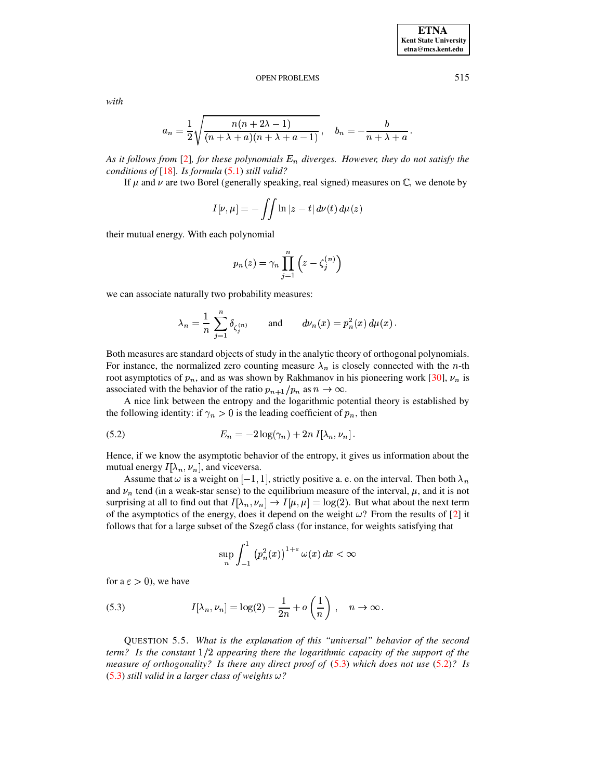## **OPEN PROBLEMS**

with

$$
a_n = \frac{1}{2} \sqrt{\frac{n(n+2\lambda-1)}{(n+\lambda+a)(n+\lambda+a-1)}}, \quad b_n = -\frac{b}{n+\lambda+a}
$$

As it follows from [2], for these polynomials  $E_n$  diverges. However, they do not satisfy the conditions of [18]. Is formula  $(5.1)$  still valid?

If  $\mu$  and  $\nu$  are two Borel (generally speaking, real signed) measures on  $\mathbb{C}$ , we denote by

$$
I[\nu,\mu] = -\iint \ln|z-t| \, d\nu(t) \, d\mu(z)
$$

their mutual energy. With each polynomial

$$
p_n(z) = \gamma_n \prod_{j=1}^n \left( z - \zeta_j^{(n)} \right)
$$

we can associate naturally two probability measures:

<span id="page-4-1"></span>
$$
\lambda_n = \frac{1}{n} \sum_{j=1}^n \delta_{\zeta_j^{(n)}} \quad \text{and} \quad d\nu_n(x) = p_n^2(x) d\mu(x) .
$$

Both measures are standard objects of study in the analytic theory of orthogonal polynomials. For instance, the normalized zero counting measure  $\lambda_n$  is closely connected with the *n*-th root asymptotics of  $p_n$ , and as was shown by Rakhmanov in his pioneering work [30],  $\nu_n$  is associated with the behavior of the ratio  $p_{n+1}/p_n$  as  $n \to \infty$ .

A nice link between the entropy and the logarithmic potential theory is established by the following identity: if  $\gamma_n > 0$  is the leading coefficient of  $p_n$ , then

$$
(5.2) \t\t\t E_n = -2\log(\gamma_n) + 2n I[\lambda_n, \nu_n].
$$

Hence, if we know the asymptotic behavior of the entropy, it gives us information about the mutual energy  $I[\lambda_n, \nu_n]$ , and viceversa.

Assume that  $\omega$  is a weight on  $[-1, 1]$ , strictly positive a. e. on the interval. Then both  $\lambda_n$ and  $\nu_n$  tend (in a weak-star sense) to the equilibrium measure of the interval,  $\mu$ , and it is not surprising at all to find out that  $I[\lambda_n, \nu_n] \to I[\mu, \mu] = \log(2)$ . But what about the next term of the asymptotics of the energy, does it depend on the weight  $\omega$ ? From the results of [2] it follows that for a large subset of the Szegő class (for instance, for weights satisfying that

$$
\sup_{n}\int_{-1}^{1}\left(p_{n}^{2}(x)\right)^{1+\varepsilon}\omega(x)\,dx<\infty
$$

<span id="page-4-0"></span>for a  $\varepsilon > 0$ ), we have

(5.3) 
$$
I[\lambda_n, \nu_n] = \log(2) - \frac{1}{2n} + o\left(\frac{1}{n}\right), \quad n \to \infty.
$$

<span id="page-4-2"></span>QUESTION 5.5. What is the explanation of this "universal" behavior of the second term? Is the constant  $1/2$  appearing there the logarithmic capacity of the support of the measure of orthogonality? Is there any direct proof of  $(5.3)$  which does not use  $(5.2)$ ? Is (5.3) still valid in a larger class of weights  $\omega$ ?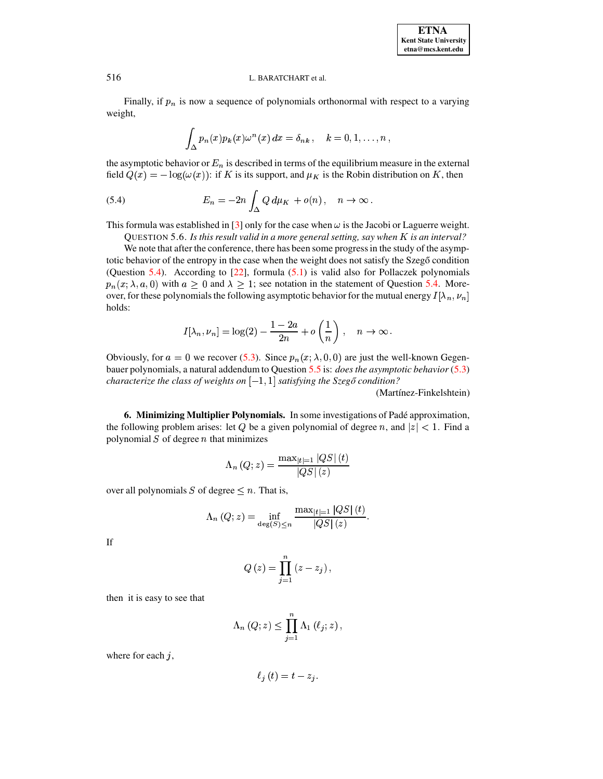Finally, if  $p_n$  is now a sequence of polynomials orthonormal with respect to a varying weight,

$$
\int_{\Delta} p_n(x) p_k(x) \omega^n(x) dx = \delta_{nk}, \quad k = 0, 1, \ldots, n,
$$

the asymptotic behavior or  $E_n$  is described in terms of the equilibrium measure in the external field  $Q(x) = -\log(\omega(x))$ : if K is its support, and  $\mu_K$  is the Robin distribution on K, then

(5.4) 
$$
E_n = -2n \int_{\Delta} Q \, d\mu_K + o(n) \, , \quad n \to \infty \, .
$$

This formula was established in [3] only for the case when  $\omega$  is the Jacobi or Laguerre weight.

QUESTION 5.6. Is this result valid in a more general setting, say when  $K$  is an interval?

We note that after the conference, there has been some progress in the study of the asymptotic behavior of the entropy in the case when the weight does not satisfy the Szegő condition (Ouestion 5.4). According to  $[22]$ , formula  $(5.1)$  is valid also for Pollaczek polynomials  $p_n(x; \lambda, a, 0)$  with  $a > 0$  and  $\lambda > 1$ ; see notation in the statement of Question 5.4. Moreover, for these polynomials the following asymptotic behavior for the mutual energy  $I[\lambda_n, \nu_n]$ holds:

$$
I[\lambda_n, \nu_n] = \log(2) - \frac{1 - 2a}{2n} + o\left(\frac{1}{n}\right), \quad n \to \infty.
$$

Obviously, for  $a = 0$  we recover (5.3). Since  $p_n(x; \lambda, 0, 0)$  are just the well-known Gegenbauer polynomials, a natural addendum to Question 5.5 is: *does the asymptotic behavior* (5.3) characterize the class of weights on  $[-1,1]$  satisfying the Szegő condition?

(Martínez-Finkelshtein)

**6. Minimizing Multiplier Polynomials.** In some investigations of Padé approximation, the following problem arises: let Q be a given polynomial of degree n, and  $|z| < 1$ . Find a polynomial  $S$  of degree  $n$  that minimizes

$$
\Lambda_n\left(Q;z\right) = \frac{\max_{|t|=1} |QS| \left(t\right)}{|QS| \left(z\right)}
$$

over all polynomials S of degree  $\leq n$ . That is,

$$
\Lambda_n(Q; z) = \inf_{\deg(S) \le n} \frac{\max_{|t|=1} |QS| (t)}{|QS| (z)}.
$$

If

$$
Q\left(z\right) = \prod_{j=1}^{n} \left(z - z_j\right),
$$

then it is easy to see that

$$
\Lambda_n(Q; z) \leq \prod_{j=1}^n \Lambda_1(\ell_j; z),
$$

where for each  $j$ ,

$$
\ell_j(t)=t-z_j.
$$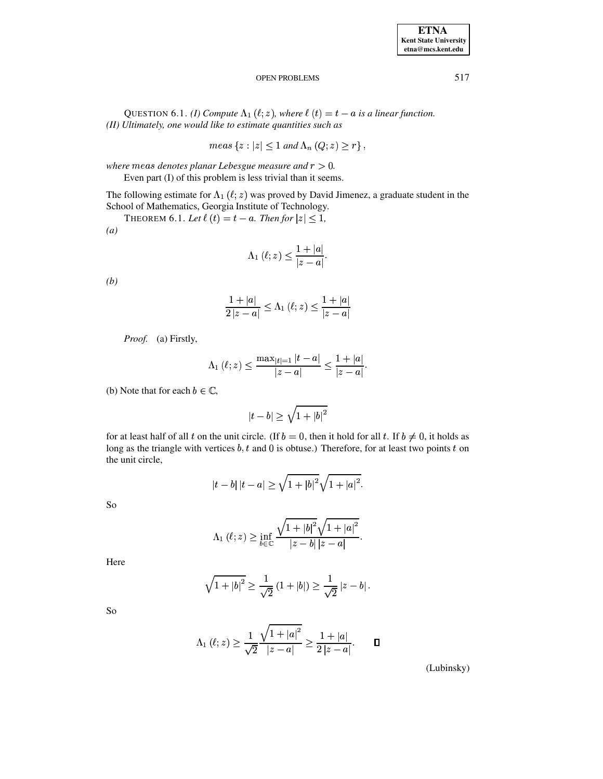**ETNA Kent State University**  $etna@mcs. kent.edu$ 

#### **OPEN PROBLEMS**

QUESTION 6.1. (*I)* Compute  $\Lambda_1(\ell;z)$ , where  $\ell(t) = t - a$  is a linear function. (II) Ultimately, one would like to estimate quantities such as

$$
meas \{z : |z| \le 1 \text{ and } \Lambda_n(Q; z) \ge r \},
$$

where meas denotes planar Lebesgue measure and  $r > 0$ .

Even part (I) of this problem is less trivial than it seems.

The following estimate for  $\Lambda_1(\ell; z)$  was proved by David Jimenez, a graduate student in the School of Mathematics, Georgia Institute of Technology.

THEOREM 6.1. Let  $\ell(t) = t - a$ . Then for  $|z| \leq 1$ ,

 $\left(a\right)$ 

$$
\Lambda_1(\ell;z)\leq \frac{1+|a|}{|z-a|}.
$$

 $(b)$ 

$$
\frac{1+|a|}{2|z-a|} \leq \Lambda_1(\ell;z) \leq \frac{1+|a|}{|z-a|}
$$

*Proof.* (a) Firstly,

$$
\Lambda_1 (\ell;z) \le \frac{\max_{|t|=1} |t-a|}{|z-a|} \le \frac{1+|a|}{|z-a|}.
$$

(b) Note that for each  $b \in \mathbb{C}$ ,

$$
|t-b|\geq \sqrt{1+|b|^2}
$$

for at least half of all t on the unit circle. (If  $b = 0$ , then it hold for all t. If  $b \neq 0$ , it holds as long as the triangle with vertices  $b, t$  and  $0$  is obtuse.) Therefore, for at least two points  $t$  on the unit circle,

$$
|t-b| |t-a| \ge \sqrt{1+|b|^2} \sqrt{1+|a|^2}.
$$

So

$$
\Lambda_1 (\ell;z) \geq \inf_{b \in \mathbb{C}} \frac{\sqrt{1+|b|^2}\sqrt{1+|a|^2}}{|z-b||z-a|}.
$$

Here

$$
\sqrt{1+|b|^2} \ge \frac{1}{\sqrt{2}} (1+|b|) \ge \frac{1}{\sqrt{2}} |z-b|.
$$

So

$$
\Lambda_1 (\ell;z) \geq \frac{1}{\sqrt{2}} \frac{\sqrt{1+|a|^2}}{|z-a|} \geq \frac{1+|a|}{2|z-a|}. \qquad \Box
$$

(Lubinsky)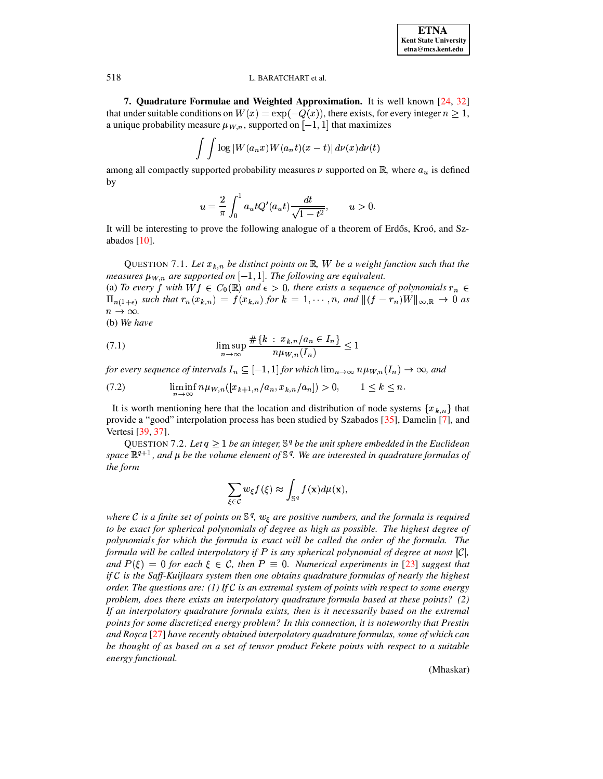7. Quadrature Formulae and Weighted Approximation. It is well known [24, 32] that under suitable conditions on  $W(x) = \exp(-Q(x))$ , there exists, for every integer  $n \ge 1$ , a unique probability measure  $\mu_{W,n}$ , supported on  $[-1, 1]$  that maximizes

$$
\int \int \log |W(a_n x)W(a_n t)(x-t)| \, d\nu(x) d\nu(t)
$$

among all compactly supported probability measures  $\nu$  supported on  $\mathbb{R}$ , where  $a_u$  is defined by

$$
u = \frac{2}{\pi} \int_0^1 a_u t Q'(a_u t) \frac{dt}{\sqrt{1 - t^2}}, \qquad u > 0.
$$

It will be interesting to prove the following analogue of a theorem of Erdős, Kroó, and Szabados  $[10]$ .

QUESTION 7.1. Let  $x_{k,n}$  be distinct points on  $\mathbb{R}$ , W be a weight function such that the measures  $\mu_{W,n}$  are supported on  $[-1,1]$ . The following are equivalent.

(a) To every f with  $Wf \in C_0(\mathbb{R})$  and  $\epsilon > 0$ , there exists a sequence of polynomials  $r_n \in C_0(\mathbb{R})$  $\Pi_{n(1+\epsilon)}$  such that  $r_n(x_{k,n}) = f(x_{k,n})$  for  $k = 1, \dots, n$ , and  $||(f - r_n)W||_{\infty, \mathbb{R}} \to 0$  as  $n \to \infty$ .

 $(b)$  We have

(7.1) 
$$
\limsup_{n \to \infty} \frac{\#\{k \,:\, x_{k,n}/a_n \in I_n\}}{n\mu_{W,n}(I_n)} \le 1
$$

for every sequence of intervals  $I_n \subseteq [-1,1]$  for which  $\lim_{n\to\infty} n\mu_{W,n}(I_n) \to \infty$ , and

(7.2) 
$$
\liminf_{n \to \infty} n \mu_{W,n}([x_{k+1,n}/a_n, x_{k,n}/a_n]) > 0, \qquad 1 \le k \le n.
$$

It is worth mentioning here that the location and distribution of node systems  $\{x_{k,n}\}\$ that provide a "good" interpolation process has been studied by Szabados [35], Damelin [7], and Vertesi [39, 37].

QUESTION 7.2. Let  $q \geq 1$  be an integer,  $\mathbb{S}^q$  be the unit sphere embedded in the Euclidean space  $\mathbb{R}^{q+1}$ , and  $\mu$  be the volume element of S<sup>q</sup>. We are interested in quadrature formulas of the form

$$
\sum_{\xi \in \mathcal{C}} w_{\xi} f(\xi) \approx \int_{\mathbb{S}^q} f(\mathbf{x}) d\mu(\mathbf{x}),
$$

where C is a finite set of points on  $\mathbb{S}^q$ ,  $w_{\xi}$  are positive numbers, and the formula is required to be exact for spherical polynomials of degree as high as possible. The highest degree of polynomials for which the formula is exact will be called the order of the formula. The formula will be called interpolatory if P is any spherical polynomial of degree at most  $|\mathcal{C}|$ , and  $P(\xi) = 0$  for each  $\xi \in \mathcal{C}$ , then  $P \equiv 0$ . Numerical experiments in [23] suggest that if C is the Saff-Kuijlaars system then one obtains quadrature formulas of nearly the highest order. The questions are: (1) If C is an extremal system of points with respect to some energy problem, does there exists an interpolatory quadrature formula based at these points?  $(2)$ If an interpolatory quadrature formula exists, then is it necessarily based on the extremal points for some discretized energy problem? In this connection, it is noteworthy that Prestin and Rosca [27] have recently obtained interpolatory quadrature formulas, some of which can be thought of as based on a set of tensor product Fekete points with respect to a suitable energy functional.

(Mhaskar)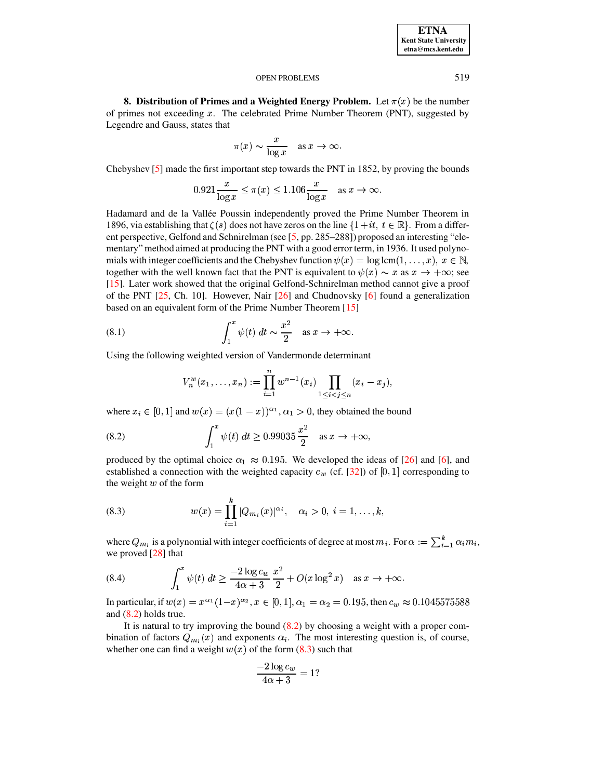## **ETNA Kent State University**  $etna@mcs. kent.edu$

#### **OPEN PROBLEMS**

**8.** Distribution of Primes and a Weighted Energy Problem. Let  $\pi(x)$  be the number of primes not exceeding  $x$ . The celebrated Prime Number Theorem (PNT), suggested by Legendre and Gauss, states that

$$
\pi(x) \sim \frac{x}{\log x} \quad \text{as } x \to \infty.
$$

Chebyshev  $[5]$  made the first important step towards the PNT in 1852, by proving the bounds

$$
0.921 \frac{x}{\log x} \le \pi(x) \le 1.106 \frac{x}{\log x} \quad \text{as } x \to \infty.
$$

Hadamard and de la Vallée Poussin independently proved the Prime Number Theorem in 1896, via establishing that  $\zeta(s)$  does not have zeros on the line  $\{1+it, t \in \mathbb{R}\}\.$  From a different perspective, Gelfond and Schnirelman (see [5, pp. 285-288]) proposed an interesting "elementary" method aimed at producing the PNT with a good error term, in 1936. It used polynomials with integer coefficients and the Chebyshev function  $\psi(x) = \log \text{lcm}(1, \dots, x), x \in \mathbb{N}$ , together with the well known fact that the PNT is equivalent to  $\psi(x) \sim x$  as  $x \to +\infty$ ; see [15]. Later work showed that the original Gelfond-Schnirelman method cannot give a proof of the PNT  $[25, Ch. 10]$ . However, Nair  $[26]$  and Chudnovsky  $[6]$  found a generalization based on an equivalent form of the Prime Number Theorem [15]

(8.1) 
$$
\int_{1}^{x} \psi(t) dt \sim \frac{x^2}{2} \text{ as } x \to +\infty
$$

Using the following weighted version of Vandermonde determinant

<span id="page-8-3"></span><span id="page-8-0"></span>
$$
V_n^w(x_1,\ldots,x_n) := \prod_{i=1}^n w^{n-1}(x_i) \prod_{1 \leq i < j \leq n} (x_i - x_j),
$$

where  $x_i \in [0,1]$  and  $w(x) = (x(1-x))^{\alpha_1}$ ,  $\alpha_1 > 0$ , they obtained the bound

(8.2) 
$$
\int_{1}^{x} \psi(t) dt \ge 0.99035 \frac{x^2}{2} \text{ as } x \to +\infty,
$$

produced by the optimal choice  $\alpha_1 \approx 0.195$ . We developed the ideas of [26] and [6], and established a connection with the weighted capacity  $c_w$  (cf. [32]) of [0, 1] corresponding to the weight  $w$  of the form

<span id="page-8-1"></span>(8.3) 
$$
w(x) = \prod_{i=1}^{k} |Q_{m_i}(x)|^{\alpha_i}, \quad \alpha_i > 0, \ i = 1, \dots, k,
$$

<span id="page-8-2"></span>where  $Q_{m_i}$  is a polynomial with integer coefficients of degree at most  $m_i$ . For  $\alpha := \sum_{i=1}^k \alpha_i m_i$ , we proved  $[28]$  that

(8.4) 
$$
\int_{1}^{x} \psi(t) dt \ge \frac{-2 \log c_w}{4\alpha + 3} \frac{x^2}{2} + O(x \log^2 x) \text{ as } x \to +\infty.
$$

In particular, if  $w(x) = x^{\alpha_1}(1-x)^{\alpha_2}$ ,  $x \in [0,1]$ ,  $\alpha_1 = \alpha_2 = 0.195$ , then  $c_w \approx 0.1045575588$ and  $(8.2)$  holds true.

It is natural to try improving the bound  $(8.2)$  by choosing a weight with a proper combination of factors  $Q_{m_i}(x)$  and exponents  $\alpha_i$ . The most interesting question is, of course, whether one can find a weight  $w(x)$  of the form (8.3) such that

$$
\frac{-2\log c_w}{4\alpha+3} = 1?
$$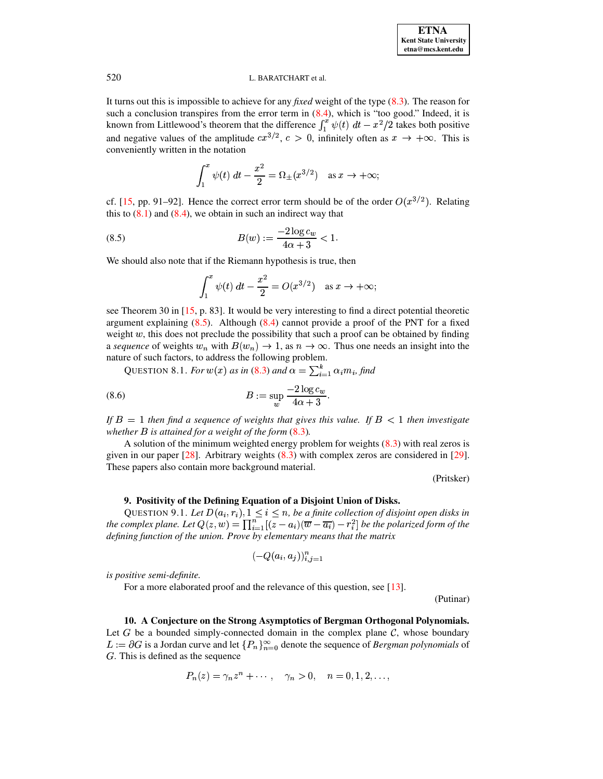It turns out this is impossible to achieve for any *fixed* weight of the type [\(8.3\)](#page-8-1). The reason for such a conclusion transpires from the error term in  $(8.4)$ , which is "too good." Indeed, it is known from Littlewood's theorem that the difference  $\int_1^x \psi(t) dt - x^2/2$  takes both positive and negative values of the amplitude  $cx^{3/2}$ ,  $c > 0$ , infinitely often as  $x \to +\infty$ . This is conveniently written in the notation

<span id="page-9-0"></span>
$$
\int_1^x \psi(t) \, dt - \frac{x^2}{2} = \Omega_{\pm}(x^{3/2}) \quad \text{as } x \to +\infty;
$$

cf. [\[15,](#page-13-22) pp. 91–92]. Hence the correct error term should be of the order  $O(x^{3/2})$ . Relating this to  $(8.1)$  and  $(8.4)$ , we obtain in such an indirect way that

(8.5) 
$$
B(w) := \frac{-2\log c_w}{4\alpha + 3} < 1.
$$

We should also note that if the Riemann hypothesis is true, then

$$
\int_1^x \psi(t) \, dt - \frac{x^2}{2} = O(x^{3/2}) \quad \text{as } x \to +\infty;
$$

see Theorem 30 in [\[15,](#page-13-22) p. 83]. It would be very interesting to find a direct potential theoretic argument explaining [\(8.5\)](#page-9-0). Although [\(8.4\)](#page-8-2) cannot provide a proof of the PNT for a fixed weight  $w$ , this does not preclude the possibility that such a proof can be obtained by finding a *sequence* of weights  $w_n$  with  $B(w_n) \to 1$ , as  $n \to \infty$ . Thus one needs an insight into the nature of such factors, to address the following problem.

QUESTION 8.1. *For*  $w(x)$  as in [\(8.3\)](#page-8-1) and  $\alpha = \sum_{i=1}^{k} \alpha_i m_i$ , find

$$
(8.6) \t\t B := \sup_{w} \frac{-2\log c_w}{4\alpha + 3}.
$$

If  $B = 1$  then find a sequence of weights that gives this value. If  $B < 1$  then investigate *whether is attained for a weight of the form* [\(8.3\)](#page-8-1)*.*

A solution of the minimum weighted energy problem for weights [\(8.3\)](#page-8-1) with real zeros is given in our paper  $[28]$ . Arbitrary weights  $(8.3)$  with complex zeros are considered in  $[29]$ . These papers also contain more background material.

(Pritsker)

## **9. Positivity of the Defining Equation of a Disjoint Union of Disks.**

QUESTION 9.1. Let  $D(a_i, r_i)$ ,  $1 \leq i \leq n$ , be a finite collection of disjoint open disks in *the complex plane. Let*  $Q(z, w) = \prod_{i=1}^{n} [(z - a_i)(\overline{w} - \overline{a_i}) - r_i^2]$  be the polarized form of the *defining function of the union. Prove by elementary means that the matrix*

$$
(-Q(a_i,a_j))_{i,j=1}^n\,
$$

*is positive semi-definite.*

For a more elaborated proof and the relevance of this question, see [\[13\]](#page-13-27).

(Putinar)

# **10. A Conjecture on the Strong Asymptotics of Bergman Orthogonal Polynomials.**

Let G be a bounded simply-connected domain in the complex plane  $\mathcal{C}$ , whose boundary  $L := \partial G$  is a Jordan curve and let  $\{P_n\}_{n=0}^{\infty}$  denote the sequence of *Bergman polynomials* of  $G$ . This is defined as the sequence

$$
P_n(z) = \gamma_n z^n + \cdots, \quad \gamma_n > 0, \quad n = 0, 1, 2, \ldots,
$$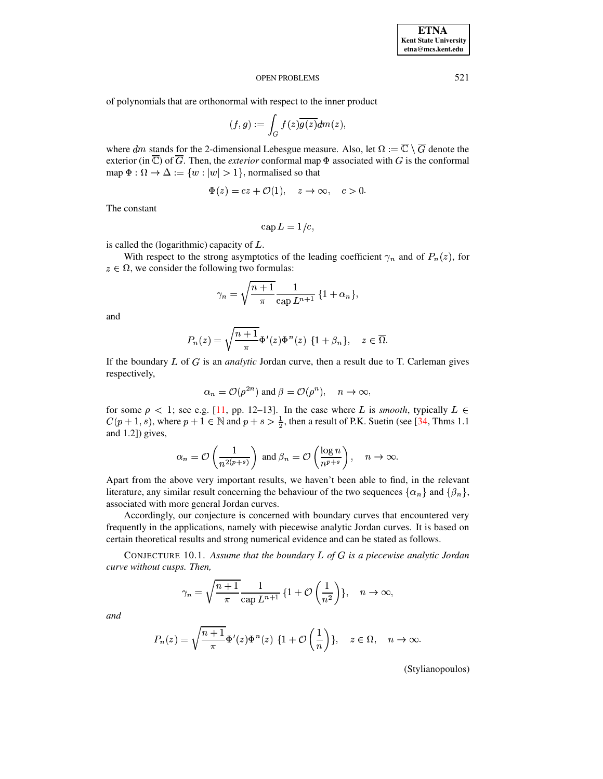#### **OPEN PROBLEMS**

of polynomials that are orthonormal with respect to the inner product

$$
(f,g):=\int_G f(z)\overline{g(z)}dm(z),
$$

where dm stands for the 2-dimensional Lebesgue measure. Also, let  $\Omega := \overline{\mathbb{C}} \setminus \overline{G}$  denote the exterior (in  $\overline{\mathbb{C}}$ ) of  $\overline{G}$ . Then, the *exterior* conformal map  $\Phi$  associated with G is the conformal map  $\Phi : \Omega \to \Delta := \{w : |w| > 1\}$ , normalised so that

$$
\Phi(z) = cz + \mathcal{O}(1), \quad z \to \infty, \quad c > 0.
$$

The constant

$$
\operatorname{cap} L = 1/c,
$$

is called the (logarithmic) capacity of  $L$ .

With respect to the strong asymptotics of the leading coefficient  $\gamma_n$  and of  $P_n(z)$ , for  $z \in \Omega$ , we consider the following two formulas:

$$
\gamma_n = \sqrt{\frac{n+1}{\pi}} \frac{1}{\operatorname{cap} L^{n+1}} \{1 + \alpha_n\},\,
$$

and

$$
P_n(z) = \sqrt{\frac{n+1}{\pi}} \Phi'(z) \Phi^n(z) \{1 + \beta_n\}, \quad z \in \overline{\Omega}.
$$

If the boundary  $L$  of  $G$  is an *analytic* Jordan curve, then a result due to  $T$ . Carleman gives respectively,

$$
\alpha_n = \mathcal{O}(\rho^{2n})
$$
 and  $\beta = \mathcal{O}(\rho^n)$ ,  $n \to \infty$ ,

for some  $\rho$  < 1; see e.g. [11, pp. 12-13]. In the case where L is smooth, typically  $L \in$  $C(p+1, s)$ , where  $p + 1 \in \mathbb{N}$  and  $p + s > \frac{1}{2}$ , then a result of P.K. Suetin (see [34, Thms 1.1] and 1.2]) gives,

$$
\alpha_n = \mathcal{O}\left(\frac{1}{n^{2(p+s)}}\right) \text{ and } \beta_n = \mathcal{O}\left(\frac{\log n}{n^{p+s}}\right), \quad n \to \infty.
$$

Apart from the above very important results, we haven't been able to find, in the relevant literature, any similar result concerning the behaviour of the two sequences  $\{\alpha_n\}$  and  $\{\beta_n\}$ , associated with more general Jordan curves.

Accordingly, our conjecture is concerned with boundary curves that encountered very frequently in the applications, namely with piecewise analytic Jordan curves. It is based on certain theoretical results and strong numerical evidence and can be stated as follows.

CONJECTURE 10.1. Assume that the boundary  $L$  of  $G$  is a piecewise analytic Jordan curve without cusps. Then,

$$
\gamma_n = \sqrt{\frac{n+1}{\pi}} \frac{1}{\operatorname{cap} L^{n+1}} \left\{ 1 + \mathcal{O}\left(\frac{1}{n^2}\right) \right\}, \quad n \to \infty,
$$

and

$$
P_n(z)=\sqrt{\frac{n+1}{\pi}}\Phi'(z)\Phi^n(z)\ \{1+\mathcal O\left(\frac{1}{n}\right)\},\quad z\in\Omega,\quad n\to\infty.
$$

(Stylianopoulos)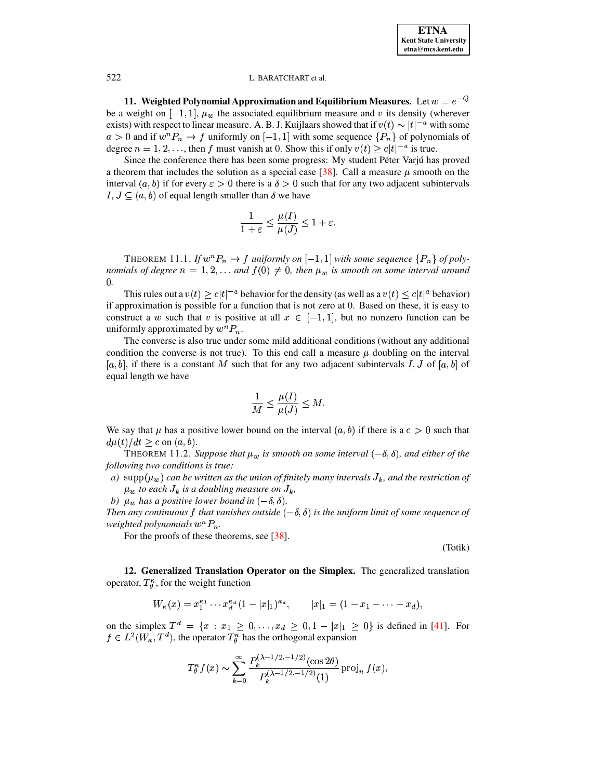11. Weighted Polynomial Approximation and Equilibrium Measures. Let  $w = e^{-Q}$ be a weight on  $[-1, 1]$ ,  $\mu_w$  the associated equilibrium measure and v its density (wherever exists) with respect to linear measure. A. B. J. Kuijlaars showed that if  $v(t) \sim |t|^{-a}$  with some  $a > 0$  and if  $w^n P_n \to f$  uniformly on  $[-1, 1]$  with some sequence  $\{P_n\}$  of polynomials of degree  $n = 1, 2, \dots$ , then f must vanish at 0. Show this if only  $v(t) \ge c|t|^{-a}$  is true.

Since the conference there has been some progress: My student Péter Varjú has proved a theorem that includes the solution as a special case [38]. Call a measure  $\mu$  smooth on the interval  $(a, b)$  if for every  $\varepsilon > 0$  there is a  $\delta > 0$  such that for any two adjacent subintervals  $I, J \subset (a, b)$  of equal length smaller than  $\delta$  we have

$$
\frac{1}{1+\varepsilon} \le \frac{\mu(I)}{\mu(J)} \le 1+\varepsilon.
$$

THEOREM 11.1. If  $w^n P_n \to f$  uniformly on  $[-1, 1]$  with some sequence  $\{P_n\}$  of polynomials of degree  $n = 1, 2, \ldots$  and  $f(0) \neq 0$ , then  $\mu_w$  is smooth on some interval around  $\Omega$ 

This rules out a  $v(t) \ge c|t|^{-a}$  behavior for the density (as well as a  $v(t) \le c|t|^a$  behavior) if approximation is possible for a function that is not zero at 0. Based on these, it is easy to construct a w such that v is positive at all  $x \in [-1,1]$ , but no nonzero function can be uniformly approximated by  $w^n P_n$ .

The converse is also true under some mild additional conditions (without any additional condition the converse is not true). To this end call a measure  $\mu$  doubling on the interval [a, b], if there is a constant M such that for any two adjacent subintervals I, J of [a, b] of equal length we have

$$
\frac{1}{M} \le \frac{\mu(I)}{\mu(J)} \le M.
$$

We say that  $\mu$  has a positive lower bound on the interval  $(a, b)$  if there is a  $c > 0$  such that  $d\mu(t)/dt \geq c$  on  $(a, b)$ .

THEOREM 11.2. Suppose that  $\mu_w$  is smooth on some interval  $(-\delta, \delta)$ , and either of the following two conditions is true:

a) supp $(\mu_w)$  can be written as the union of finitely many intervals  $J_k$ , and the restriction of  $\mu_w$  to each  $J_k$  is a doubling measure on  $J_k$ ,

b)  $\mu_w$  has a positive lower bound in  $(-\delta, \delta)$ .

Then any continuous f that vanishes outside  $(-\delta, \delta)$  is the uniform limit of some sequence of weighted polynomials  $w^n P_n$ .

For the proofs of these theorems, see [38].

(Totik)

12. Generalized Translation Operator on the Simplex. The generalized translation operator,  $T^{\kappa}_{\theta}$ , for the weight function

$$
W_{\kappa}(x) = x_1^{\kappa_1} \cdots x_d^{\kappa_d} (1 - |x|_1)^{\kappa_d}, \qquad |x|_1 = (1 - x_1 - \cdots - x_d),
$$

on the simplex  $T^d = \{x : x_1 \ge 0, ..., x_d \ge 0, 1 - |x|_1 \ge 0\}$  is defined in [41]. For  $f \in L^2(W_\kappa, T^d)$ , the operator  $T_\theta^\kappa$  has the orthogonal expansion

$$
T_{\theta}^{\kappa} f(x) \sim \sum_{k=0}^{\infty} \frac{P_k^{(\lambda - 1/2, -1/2)}(\cos 2\theta)}{P_k^{(\lambda - 1/2, -1/2)}(1)} \operatorname{proj}_n f(x),
$$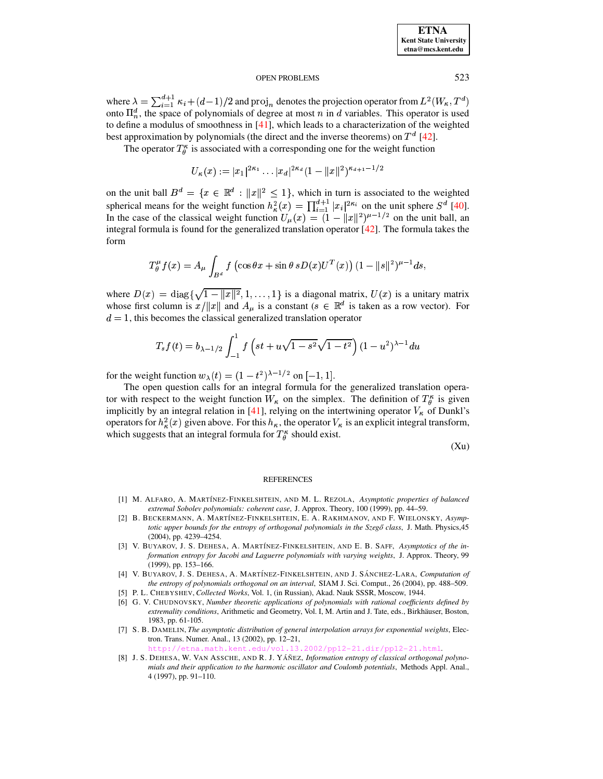**ETNA Kent State University** etna@mcs.kent.edu

### **OPEN PROBLEMS**

where  $\lambda = \sum_{i=1}^{d+1} \kappa_i + (d-1)/2$  and  $\text{proj}_n$  denotes the projection operator from  $L^2(W_\kappa, T^d)$ onto  $\Pi_n^d$ , the space of polynomials of degree at most n in d variables. This operator is used to define a modulus of smoothness in  $[41]$ , which leads to a characterization of the weighted best approximation by polynomials (the direct and the inverse theorems) on  $T^d$  [42].

The operator  $T^{\kappa}_{\theta}$  is associated with a corresponding one for the weight function

$$
U_{\kappa}(x) := |x_1|^{2\kappa_1} \dots |x_d|^{2\kappa_d} (1 - \|x\|^2)^{\kappa_{d+1} - 1/2}
$$

on the unit ball  $B^d = \{x \in \mathbb{R}^d : ||x||^2 \le 1\}$ , which in turn is associated to the weighted spherical means for the weight function  $h_{\kappa}^2(x) = \prod_{i=1}^{d+1} |x_i|^{2\kappa_i}$  on the unit sphere  $S^d$  [40].<br>In the case of the classical weight function  $U_{\mu}(x) = (1 - ||x||^2)^{\mu - 1/2}$  on the unit ball, an integral formula is found for the generalized translation operator  $[42]$ . The formula takes the form

$$
T^{\mu}_{\theta}f(x) = A_{\mu} \int_{B^d} f\left(\cos\theta x + \sin\theta \, sD(x)U^T(x)\right) (1 - \|s\|^2)^{\mu-1} ds,
$$

where  $D(x) = \text{diag}\{\sqrt{1-\|x\|^2}, 1, \ldots, 1\}$  is a diagonal matrix,  $U(x)$  is a unitary matrix whose first column is  $x/||x||$  and  $A_\mu$  is a constant ( $s \in \mathbb{R}^d$  is taken as a row vector). For  $d = 1$ , this becomes the classical generalized translation operator

$$
T_s f(t) = b_{\lambda - 1/2} \int_{-1}^1 f\left(st + u\sqrt{1 - s^2}\sqrt{1 - t^2}\right) (1 - u^2)^{\lambda - 1} du
$$

for the weight function  $w_{\lambda}(t) = (1 - t^2)^{\lambda - 1/2}$  on [-1, 1].

The open question calls for an integral formula for the generalized translation operator with respect to the weight function  $W_{\kappa}$  on the simplex. The definition of  $T_{a}^{\kappa}$  is given implicitly by an integral relation in [41], relying on the intertwining operator  $V_{\kappa}$  of Dunkl's operators for  $h_{\kappa}^{2}(x)$  given above. For this  $h_{\kappa}$ , the operator  $V_{\kappa}$  is an explicit integral transform, which suggests that an integral formula for  $T^{\kappa}_{\theta}$  should exist.

 $(Xu)$ 

### **REFERENCES**

- <span id="page-12-2"></span><span id="page-12-0"></span>[1] M. ALFARO, A. MARTÍNEZ-FINKELSHTEIN, AND M. L. REZOLA, Asymptotic properties of balanced extremal Sobolev polynomials: coherent case, J. Approx. Theory, 100 (1999), pp. 44-59.
- [2] B. BECKERMANN, A. MARTÍNEZ-FINKELSHTEIN, E. A. RAKHMANOV, AND F. WIELONSKY, Asymptotic upper bounds for the entropy of orthogonal polynomials in the Szegő class, J. Math. Physics, 45 (2004), pp. 4239-4254.
- <span id="page-12-4"></span>[3] V. BUYAROV, J. S. DEHESA, A. MARTÍNEZ-FINKELSHTEIN, AND E. B. SAFF, Asymptotics of the information entropy for Jacobi and Laguerre polynomials with varying weights, J. Approx. Theory, 99  $(1999)$ , pp. 153-166.
- <span id="page-12-3"></span>[4] V. BUYAROV, J. S. DEHESA, A. MARTÍNEZ-FINKELSHTEIN, AND J. SÁNCHEZ-LARA, Computation of the entropy of polynomials orthogonal on an interval, SIAM J. Sci. Comput., 26 (2004), pp. 488-509.
- <span id="page-12-7"></span><span id="page-12-6"></span>[5] P. L. CHEBYSHEV, Collected Works, Vol. 1, (in Russian), Akad. Nauk SSSR, Moscow, 1944.
- [6] G. V. CHUDNOVSKY, Number theoretic applications of polynomials with rational coefficients defined by extremality conditions, Arithmetic and Geometry, Vol. I, M. Artin and J. Tate, eds., Birkhäuser, Boston, 1983, pp. 61-105.
- <span id="page-12-5"></span>[7] S. B. DAMELIN, The asymptotic distribution of general interpolation arrays for exponential weights, Electron. Trans. Numer. Anal., 13 (2002), pp. 12-21,

.math  $-21.dir/pp12-21.html$  $\mathcal{p}$ pp12

<span id="page-12-1"></span>[8] J. S. DEHESA, W. VAN ASSCHE, AND R. J. YÁÑEZ, Information entropy of classical orthogonal polynomials and their application to the harmonic oscillator and Coulomb potentials, Methods Appl. Anal., 4 (1997), pp. 91-110.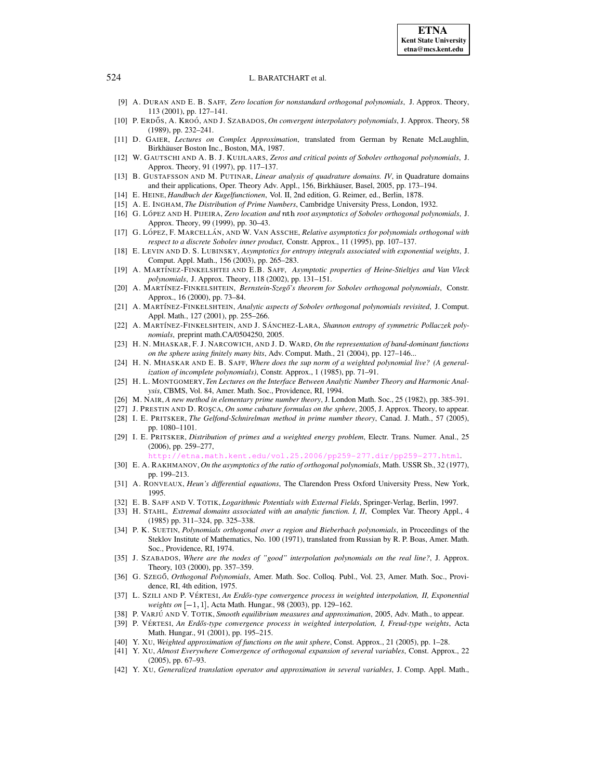- [9] A. DURAN AND E. B. SAFF, *Zero location for nonstandard orthogonal polynomials*, J. Approx. Theory, 113 (2001), pp. 127–141.
- <span id="page-13-16"></span>[10] P. ERDO˝ S, A. KROO´ , AND J. SZABADOS, *On convergent interpolatory polynomials*, J. Approx. Theory, 58 (1989), pp. 232–241.
- <span id="page-13-28"></span><span id="page-13-9"></span>[11] D. GAIER, *Lectures on Complex Approximation*, translated from German by Renate McLaughlin, Birkhäuser Boston Inc., Boston, MA, 1987.
- [12] W. GAUTSCHI AND A. B. J. KUIJLAARS, *Zeros and critical points of Sobolev orthogonal polynomials*, J. Approx. Theory, 91 (1997), pp. 117–137.
- <span id="page-13-27"></span><span id="page-13-1"></span>[13] B. GUSTAFSSON AND M. PUTINAR, *Linear analysis of quadrature domains. IV*, in Quadrature domains and their applications, Oper. Theory Adv. Appl., 156, Birkhäuser, Basel, 2005, pp. 173–194.
- <span id="page-13-22"></span>[14] E. HEINE, *Handbuch der Kugelfunctionen*, Vol. II, 2nd edition, G. Reimer, ed., Berlin, 1878.
- [15] A. E. INGHAM, *The Distribution of Prime Numbers*, Cambridge University Press, London, 1932.
- <span id="page-13-6"></span><span id="page-13-5"></span>[16] G. LO´ PEZ AND H. PIJEIRA, *Zero location and* 4 *root asymptotics of Sobolev orthogonal polynomials*, J. Approx. Theory, 99 (1999), pp. 30–43.
- <span id="page-13-11"></span>[17] G. LO´ PEZ, F. MARCELLA´ N, AND W. VAN ASSCHE, *Relative asymptotics for polynomials orthogonal with respect to a discrete Sobolev inner product*, Constr. Approx., 11 (1995), pp. 107–137.
- <span id="page-13-3"></span>[18] E. LEVIN AND D. S. LUBINSKY, *Asymptotics for entropy integrals associated with exponential weights*, J. Comput. Appl. Math., 156 (2003), pp. 265–283.
- [19] A. MART´INEZ-FINKELSHTEI AND E.B. SAFF, *Asymptotic properties of Heine-Stieltjes and Van Vleck polynomials*, J. Approx. Theory, 118 (2002), pp. 131–151.
- <span id="page-13-7"></span>[20] A. MART´INEZ-FINKELSHTEIN, *Bernstein-Szego'˝ s theorem for Sobolev orthogonal polynomials*, Constr. Approx., 16 (2000), pp. 73–84.
- <span id="page-13-13"></span><span id="page-13-8"></span>[21] A. MART´INEZ-FINKELSHTEIN, *Analytic aspects of Sobolev orthogonal polynomials revisited*, J. Comput. Appl. Math., 127 (2001), pp. 255–266.
- [22] A. MARTÍNEZ-FINKELSHTEIN, AND J. SÁNCHEZ-LARA, Shannon entropy of symmetric Pollaczek poly*nomials*, preprint math.CA/0504250, 2005.
- <span id="page-13-20"></span>[23] H. N. MHASKAR, F. J. NARCOWICH, AND J. D. WARD, *On the representation of band-dominant functions on the sphere using finitely many bits*, Adv. Comput. Math., 21 (2004), pp. 127–146...
- <span id="page-13-14"></span>[24] H. N. MHASKAR AND E. B. SAFF, *Where does the sup norm of a weighted polynomial live? (A generalization of incomplete polynomials)*, Constr. Approx., 1 (1985), pp. 71–91.
- <span id="page-13-23"></span>[25] H. L. MONTGOMERY, *Ten Lectures on the Interface Between Analytic Number Theory and Harmonic Analysis*, CBMS, Vol. 84, Amer. Math. Soc., Providence, RI, 1994.
- <span id="page-13-24"></span><span id="page-13-21"></span>[26] M. NAIR, *A new method in elementary prime number theory*, J. London Math. Soc., 25 (1982), pp. 385-391.
- <span id="page-13-25"></span>[27] J. PRESTIN AND D. ROS¸CA, *On some cubature formulas on the sphere*, 2005, J. Approx. Theory, to appear.
- [28] I. E. PRITSKER, *The Gelfond-Schnirelman method in prime number theory*, Canad. J. Math., 57 (2005), pp. 1080–1101.
- <span id="page-13-26"></span>[29] I. E. PRITSKER, *Distribution of primes and a weighted energy problem*, Electr. Trans. Numer. Anal., 25 (2006), pp. 259–277,

kent.edu/vol.25.2006/pp259-277.dir/pp259-277.html

- <span id="page-13-12"></span>[30] E. A. RAKHMANOV, *On the asymptotics of the ratio of orthogonal polynomials*, Math. USSR Sb., 32 (1977), pp. 199–213.
- <span id="page-13-0"></span>[31] A. RONVEAUX, *Heun's differential equations*, The Clarendon Press Oxford University Press, New York, 1995.
- <span id="page-13-15"></span><span id="page-13-4"></span>[32] E. B. SAFF AND V. TOTIK, *Logarithmic Potentials with External Fields*, Springer-Verlag, Berlin, 1997.
- [33] H. STAHL, *Extremal domains associated with an analytic function. I, II*, Complex Var. Theory Appl., 4 (1985) pp. 311–324, pp. 325–338.
- <span id="page-13-29"></span>[34] P. K. SUETIN, *Polynomials orthogonal over a region and Bieberbach polynomials*, in Proceedings of the Steklov Institute of Mathematics, No. 100 (1971), translated from Russian by R. P. Boas, Amer. Math. Soc., Providence, RI, 1974.
- <span id="page-13-17"></span>[35] J. SZABADOS, *Where are the nodes of "good" interpolation polynomials on the real line?*, J. Approx. Theory, 103 (2000), pp. 357–359.
- <span id="page-13-2"></span>[36] G. SzEGŐ, *Orthogonal Polynomials*, Amer. Math. Soc. Colloq. Publ., Vol. 23, Amer. Math. Soc., Providence, RI, 4th edition, 1975.
- <span id="page-13-19"></span>[37] L. SZILI AND P. VE´ RTESI, *An Erdos-type ˝ convergence process in weighted interpolation, II, Exponential weights on*  $[-1, 1]$ , Acta Math. Hungar., 98 (2003), pp. 129–162.
- <span id="page-13-30"></span><span id="page-13-18"></span>[38] P. VARJU´ AND V. TOTIK, *Smooth equilibrium measures and approximation*, 2005, Adv. Math., to appear.
- [39] P. VÉRTESI, An Erdős-type convergence process in weighted interpolation, I, Freud-type weights, Acta Math. Hungar., 91 (2001), pp. 195–215.
- <span id="page-13-33"></span>[40] Y. XU, *Weighted approximation of functions on the unit sphere*, Const. Approx., 21 (2005), pp. 1–28.
- <span id="page-13-32"></span><span id="page-13-31"></span>[41] Y. XU, *Almost Everywhere Convergence of orthogonal expansion of several variables*, Const. Approx., 22 (2005), pp. 67–93.
- [42] Y. XU, *Generalized translation operator and approximation in several variables*, J. Comp. Appl. Math.,

<span id="page-13-10"></span>